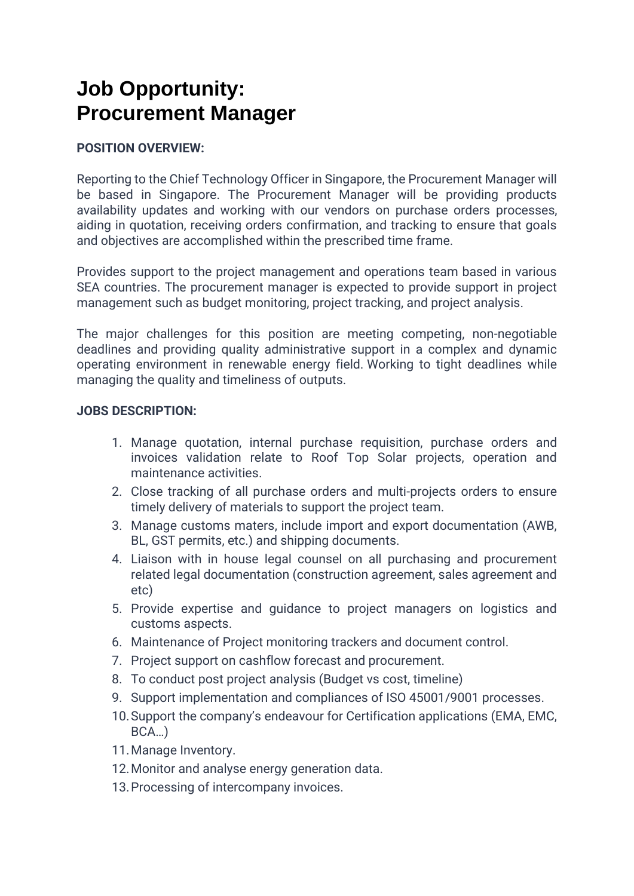## **Job Opportunity: Procurement Manager**

## **POSITION OVERVIEW:**

Reporting to the Chief Technology Officer in Singapore, the Procurement Manager will be based in Singapore. The Procurement Manager will be providing products availability updates and working with our vendors on purchase orders processes, aiding in quotation, receiving orders confirmation, and tracking to ensure that goals and objectives are accomplished within the prescribed time frame.

Provides support to the project management and operations team based in various SEA countries. The procurement manager is expected to provide support in project management such as budget monitoring, project tracking, and project analysis.

The major challenges for this position are meeting competing, non-negotiable deadlines and providing quality administrative support in a complex and dynamic operating environment in renewable energy field. Working to tight deadlines while managing the quality and timeliness of outputs.

## **JOBS DESCRIPTION:**

- 1. Manage quotation, internal purchase requisition, purchase orders and invoices validation relate to Roof Top Solar projects, operation and maintenance activities.
- 2. Close tracking of all purchase orders and multi-projects orders to ensure timely delivery of materials to support the project team.
- 3. Manage customs maters, include import and export documentation (AWB, BL, GST permits, etc.) and shipping documents.
- 4. Liaison with in house legal counsel on all purchasing and procurement related legal documentation (construction agreement, sales agreement and etc)
- 5. Provide expertise and guidance to project managers on logistics and customs aspects.
- 6. Maintenance of Project monitoring trackers and document control.
- 7. Project support on cashflow forecast and procurement.
- 8. To conduct post project analysis (Budget vs cost, timeline)
- 9. Support implementation and compliances of ISO 45001/9001 processes.
- 10.Support the company's endeavour for Certification applications (EMA, EMC, BCA…)
- 11.Manage Inventory.
- 12.Monitor and analyse energy generation data.
- 13.Processing of intercompany invoices.